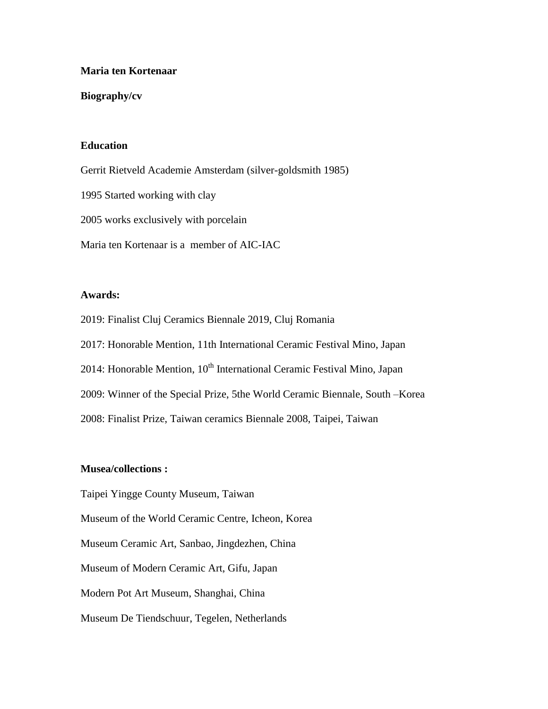### **Maria ten Kortenaar**

### **Biography/cv**

# **Education**

Gerrit Rietveld Academie Amsterdam (silver-goldsmith 1985)

1995 Started working with clay

2005 works exclusively with porcelain

Maria ten Kortenaar is a member of AIC-IAC

### **Awards:**

2019: Finalist Cluj Ceramics Biennale 2019, Cluj Romania

2017: Honorable Mention, 11th International Ceramic Festival Mino, Japan

2014: Honorable Mention,  $10^{th}$  International Ceramic Festival Mino, Japan

2009: Winner of the Special Prize, 5the World Ceramic Biennale, South –Korea

2008: Finalist Prize, Taiwan ceramics Biennale 2008, Taipei, Taiwan

# **Musea/collections :**

Taipei Yingge County Museum, Taiwan Museum of the World Ceramic Centre, Icheon, Korea Museum Ceramic Art, Sanbao, Jingdezhen, China Museum of Modern Ceramic Art, Gifu, Japan Modern Pot Art Museum, Shanghai, China

Museum De Tiendschuur, Tegelen, Netherlands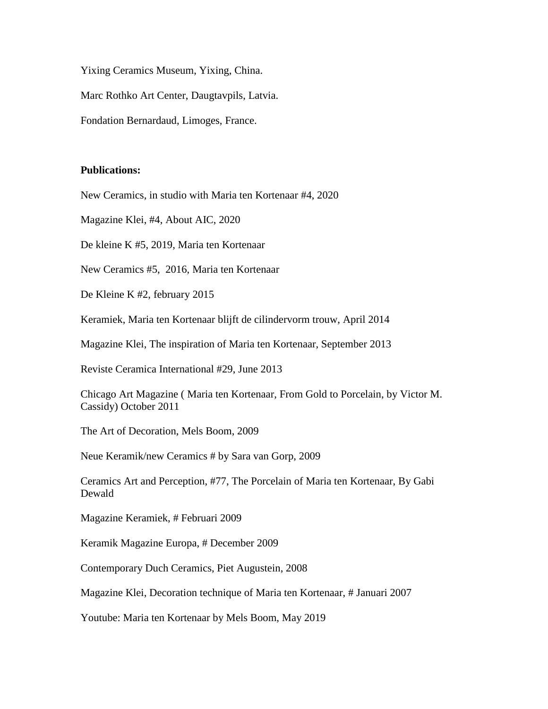Yixing Ceramics Museum, Yixing, China.

Marc Rothko Art Center, Daugtavpils, Latvia.

Fondation Bernardaud, Limoges, France.

### **Publications:**

New Ceramics, in studio with Maria ten Kortenaar #4, 2020

Magazine Klei, #4, About AIC, 2020

De kleine K #5, 2019, Maria ten Kortenaar

New Ceramics #5, 2016, Maria ten Kortenaar

De Kleine K #2, february 2015

Keramiek, Maria ten Kortenaar blijft de cilindervorm trouw, April 2014

Magazine Klei, The inspiration of Maria ten Kortenaar, September 2013

Reviste Ceramica International #29, June 2013

Chicago Art Magazine ( Maria ten Kortenaar, From Gold to Porcelain, by Victor M. Cassidy) October 2011

The Art of Decoration, Mels Boom, 2009

Neue Keramik/new Ceramics # by Sara van Gorp, 2009

Ceramics Art and Perception, #77, The Porcelain of Maria ten Kortenaar, By Gabi Dewald

Magazine Keramiek, # Februari 2009

Keramik Magazine Europa, # December 2009

Contemporary Duch Ceramics, Piet Augustein, 2008

Magazine Klei, Decoration technique of Maria ten Kortenaar, # Januari 2007

Youtube: Maria ten Kortenaar by Mels Boom, May 2019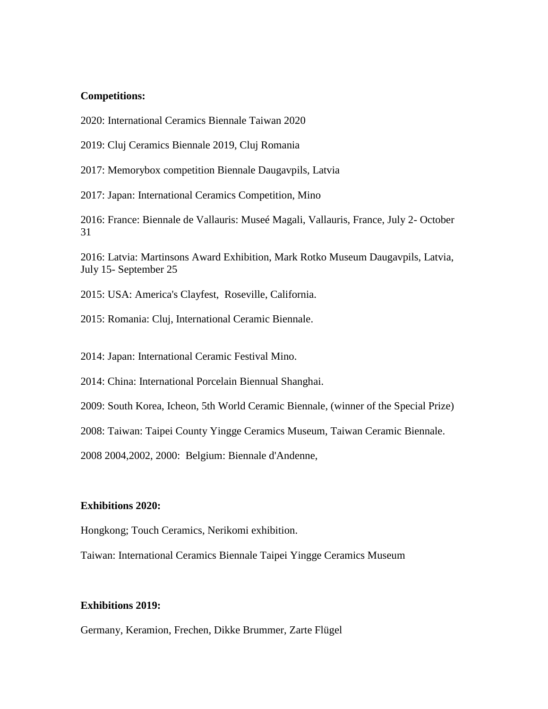### **Competitions:**

2020: International Ceramics Biennale Taiwan 2020

2019: Cluj Ceramics Biennale 2019, Cluj Romania

2017: Memorybox competition Biennale Daugavpils, Latvia

2017: Japan: International Ceramics Competition, Mino

2016: France: Biennale de Vallauris: Museé Magali, Vallauris, France, July 2- October 31

2016: Latvia: Martinsons Award Exhibition, Mark Rotko Museum Daugavpils, Latvia, July 15- September 25

2015: USA: America's Clayfest, Roseville, California.

2015: Romania: Cluj, International Ceramic Biennale.

2014: Japan: International Ceramic Festival Mino.

2014: China: International Porcelain Biennual Shanghai.

2009: South Korea, Icheon, 5th World Ceramic Biennale, (winner of the Special Prize)

2008: Taiwan: Taipei County Yingge Ceramics Museum, Taiwan Ceramic Biennale.

2008 2004,2002, 2000: Belgium: Biennale d'Andenne,

#### **Exhibitions 2020:**

Hongkong; Touch Ceramics, Nerikomi exhibition.

Taiwan: International Ceramics Biennale Taipei Yingge Ceramics Museum

# **Exhibitions 2019:**

Germany, Keramion, Frechen, Dikke Brummer, Zarte Flügel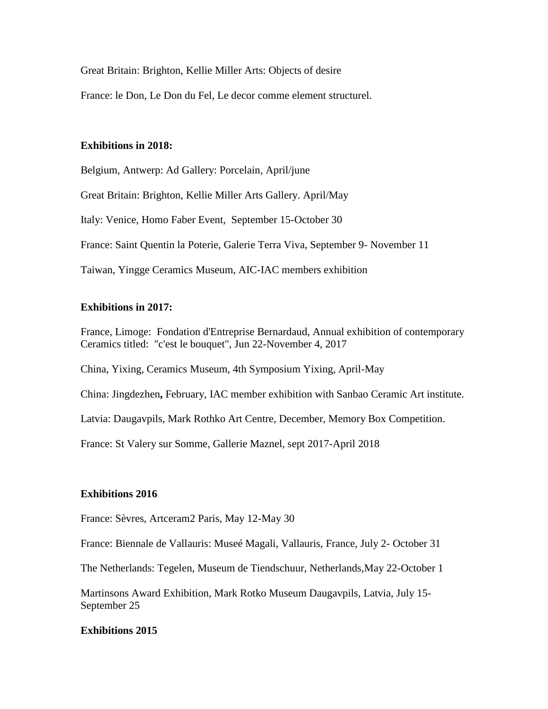Great Britain: Brighton, Kellie Miller Arts: Objects of desire

France: le Don, Le Don du Fel, Le decor comme element structurel.

# **Exhibitions in 2018:**

Belgium, Antwerp: Ad Gallery: Porcelain, April/june Great Britain: Brighton, Kellie Miller Arts Gallery. April/May Italy: Venice, Homo Faber Event, September 15-October 30 France: Saint Quentin la Poterie, Galerie Terra Viva, September 9- November 11 Taiwan, Yingge Ceramics Museum, AIC-IAC members exhibition

# **Exhibitions in 2017:**

France, Limoge: Fondation d'Entreprise Bernardaud, Annual exhibition of contemporary Ceramics titled: "c'est le bouquet", Jun 22-November 4, 2017

China, Yixing, Ceramics Museum, 4th Symposium Yixing, April-May

China: Jingdezhen**,** February, IAC member exhibition with Sanbao Ceramic Art institute.

Latvia: Daugavpils, Mark Rothko Art Centre, December, Memory Box Competition.

France: St Valery sur Somme, Gallerie Maznel, sept 2017-April 2018

### **Exhibitions 2016**

France: Sèvres, Artceram2 Paris, May 12-May 30

France: Biennale de Vallauris: Museé Magali, Vallauris, France, July 2- October 31

The Netherlands: Tegelen, Museum de Tiendschuur, Netherlands,May 22-October 1

Martinsons Award Exhibition, Mark Rotko Museum Daugavpils, Latvia, July 15- September 25

# **Exhibitions 2015**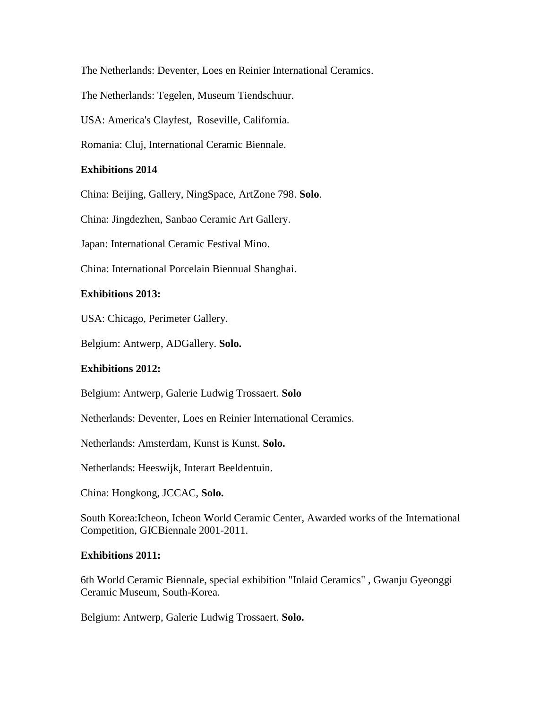The Netherlands: Deventer, Loes en Reinier International Ceramics.

The Netherlands: Tegelen, Museum Tiendschuur.

USA: America's Clayfest, Roseville, California.

Romania: Cluj, International Ceramic Biennale.

# **Exhibitions 2014**

China: Beijing, Gallery, NingSpace, ArtZone 798. **Solo**.

China: Jingdezhen, Sanbao Ceramic Art Gallery.

Japan: International Ceramic Festival Mino.

China: International Porcelain Biennual Shanghai.

### **Exhibitions 2013:**

USA: Chicago, Perimeter Gallery.

Belgium: Antwerp, ADGallery. **Solo.**

### **Exhibitions 2012:**

Belgium: Antwerp, Galerie Ludwig Trossaert. **Solo**

Netherlands: Deventer, Loes en Reinier International Ceramics.

Netherlands: Amsterdam, Kunst is Kunst. **Solo.**

Netherlands: Heeswijk, Interart Beeldentuin.

China: Hongkong, JCCAC, **Solo.**

South Korea:Icheon, Icheon World Ceramic Center, Awarded works of the International Competition, GICBiennale 2001-2011.

### **Exhibitions 2011:**

6th World Ceramic Biennale, special exhibition "Inlaid Ceramics" , Gwanju Gyeonggi Ceramic Museum, South-Korea.

Belgium: Antwerp, Galerie Ludwig Trossaert. **Solo.**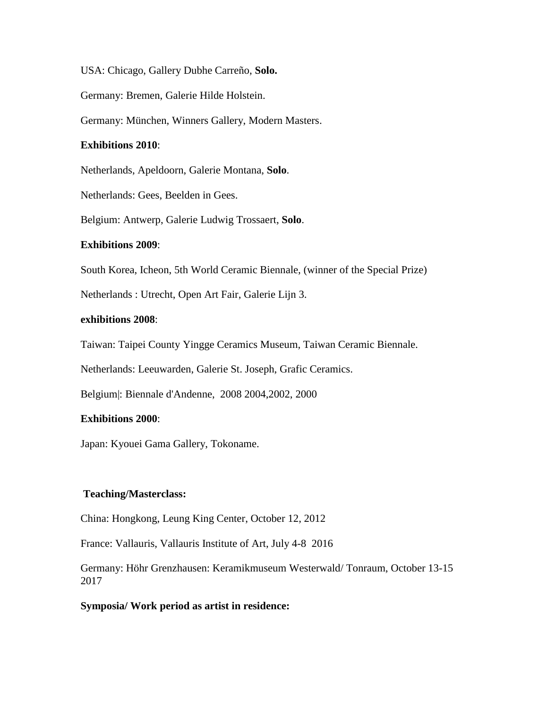USA: Chicago, Gallery Dubhe Carreño, **Solo.**

Germany: Bremen, Galerie Hilde Holstein.

Germany: München, Winners Gallery, Modern Masters.

# **Exhibitions 2010**:

Netherlands, Apeldoorn, Galerie Montana, **Solo**.

Netherlands: Gees, Beelden in Gees.

Belgium: Antwerp, Galerie Ludwig Trossaert, **Solo**.

# **Exhibitions 2009**:

South Korea, Icheon, 5th World Ceramic Biennale, (winner of the Special Prize)

Netherlands : Utrecht, Open Art Fair, Galerie Lijn 3.

# **exhibitions 2008**:

Taiwan: Taipei County Yingge Ceramics Museum, Taiwan Ceramic Biennale.

Netherlands: Leeuwarden, Galerie St. Joseph, Grafic Ceramics.

Belgium|: Biennale d'Andenne, 2008 2004,2002, 2000

# **Exhibitions 2000**:

Japan: Kyouei Gama Gallery, Tokoname.

### **Teaching/Masterclass:**

China: Hongkong, Leung King Center, October 12, 2012

France: Vallauris, Vallauris Institute of Art, July 4-8 2016

Germany: Höhr Grenzhausen: Keramikmuseum Westerwald/ Tonraum, October 13-15 2017

# **Symposia/ Work period as artist in residence:**